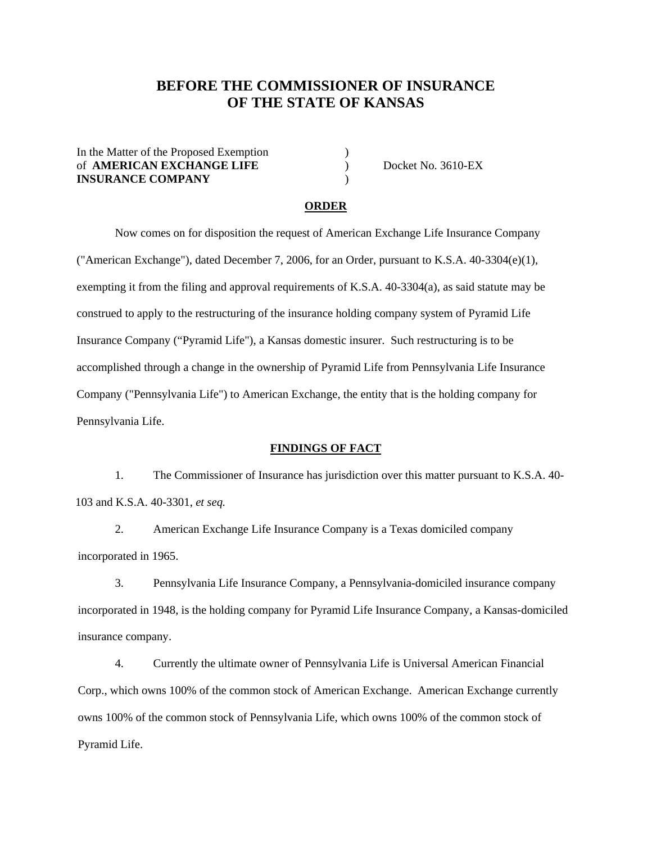# **BEFORE THE COMMISSIONER OF INSURANCE OF THE STATE OF KANSAS**

In the Matter of the Proposed Exemption ) of **AMERICAN EXCHANGE LIFE** ) Docket No. 3610-EX **INSURANCE COMPANY** )

#### **ORDER**

Now comes on for disposition the request of American Exchange Life Insurance Company ("American Exchange"), dated December 7, 2006, for an Order, pursuant to K.S.A. 40-3304(e)(1), exempting it from the filing and approval requirements of K.S.A. 40-3304(a), as said statute may be construed to apply to the restructuring of the insurance holding company system of Pyramid Life Insurance Company ("Pyramid Life"), a Kansas domestic insurer. Such restructuring is to be accomplished through a change in the ownership of Pyramid Life from Pennsylvania Life Insurance Company ("Pennsylvania Life") to American Exchange, the entity that is the holding company for Pennsylvania Life.

#### **FINDINGS OF FACT**

1. The Commissioner of Insurance has jurisdiction over this matter pursuant to K.S.A. 40- 103 and K.S.A. 40-3301, *et seq.*

2. American Exchange Life Insurance Company is a Texas domiciled company incorporated in 1965.

3. Pennsylvania Life Insurance Company, a Pennsylvania-domiciled insurance company incorporated in 1948, is the holding company for Pyramid Life Insurance Company, a Kansas-domiciled insurance company.

4. Currently the ultimate owner of Pennsylvania Life is Universal American Financial Corp., which owns 100% of the common stock of American Exchange. American Exchange currently owns 100% of the common stock of Pennsylvania Life, which owns 100% of the common stock of Pyramid Life.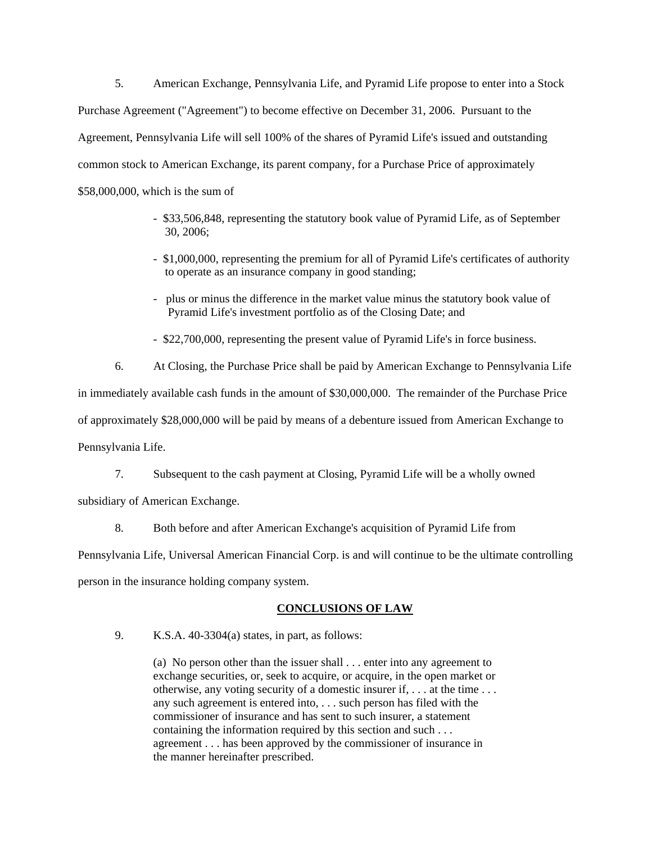5. American Exchange, Pennsylvania Life, and Pyramid Life propose to enter into a Stock Purchase Agreement ("Agreement") to become effective on December 31, 2006. Pursuant to the Agreement, Pennsylvania Life will sell 100% of the shares of Pyramid Life's issued and outstanding common stock to American Exchange, its parent company, for a Purchase Price of approximately \$58,000,000, which is the sum of

- \$33,506,848, representing the statutory book value of Pyramid Life, as of September 30, 2006;
- \$1,000,000, representing the premium for all of Pyramid Life's certificates of authority to operate as an insurance company in good standing;
- plus or minus the difference in the market value minus the statutory book value of Pyramid Life's investment portfolio as of the Closing Date; and
- \$22,700,000, representing the present value of Pyramid Life's in force business.

6. At Closing, the Purchase Price shall be paid by American Exchange to Pennsylvania Life

in immediately available cash funds in the amount of \$30,000,000. The remainder of the Purchase Price of approximately \$28,000,000 will be paid by means of a debenture issued from American Exchange to

Pennsylvania Life.

7. Subsequent to the cash payment at Closing, Pyramid Life will be a wholly owned

subsidiary of American Exchange.

8. Both before and after American Exchange's acquisition of Pyramid Life from

Pennsylvania Life, Universal American Financial Corp. is and will continue to be the ultimate controlling

person in the insurance holding company system.

## **CONCLUSIONS OF LAW**

9. K.S.A. 40-3304(a) states, in part, as follows:

(a) No person other than the issuer shall . . . enter into any agreement to exchange securities, or, seek to acquire, or acquire, in the open market or otherwise, any voting security of a domestic insurer if, . . . at the time . . . any such agreement is entered into, . . . such person has filed with the commissioner of insurance and has sent to such insurer, a statement containing the information required by this section and such . . . agreement . . . has been approved by the commissioner of insurance in the manner hereinafter prescribed.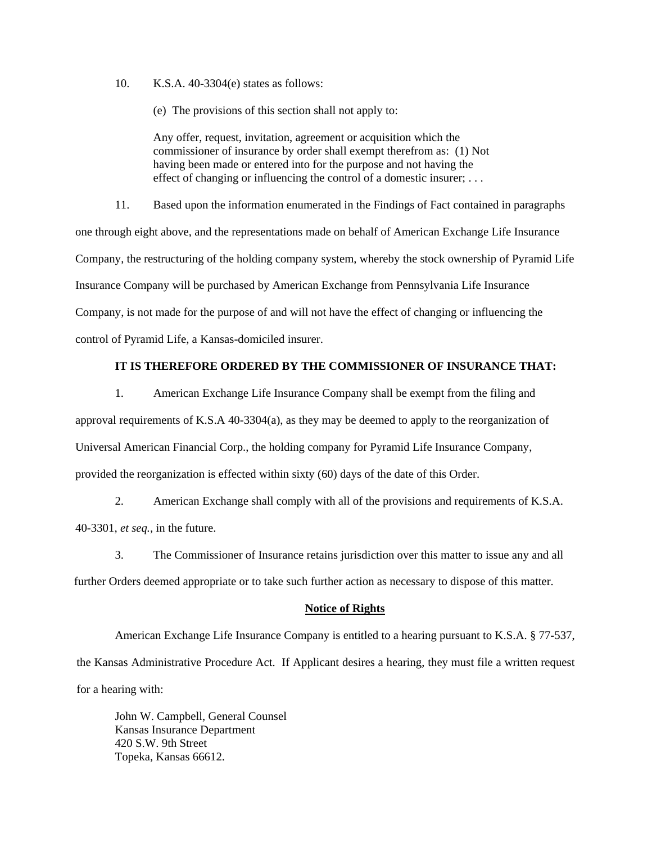10. K.S.A. 40-3304(e) states as follows:

(e) The provisions of this section shall not apply to:

Any offer, request, invitation, agreement or acquisition which the commissioner of insurance by order shall exempt therefrom as: (1) Not having been made or entered into for the purpose and not having the effect of changing or influencing the control of a domestic insurer; . . .

11. Based upon the information enumerated in the Findings of Fact contained in paragraphs one through eight above, and the representations made on behalf of American Exchange Life Insurance Company, the restructuring of the holding company system, whereby the stock ownership of Pyramid Life Insurance Company will be purchased by American Exchange from Pennsylvania Life Insurance Company, is not made for the purpose of and will not have the effect of changing or influencing the control of Pyramid Life, a Kansas-domiciled insurer.

## **IT IS THEREFORE ORDERED BY THE COMMISSIONER OF INSURANCE THAT:**

1. American Exchange Life Insurance Company shall be exempt from the filing and approval requirements of K.S.A 40-3304(a), as they may be deemed to apply to the reorganization of Universal American Financial Corp., the holding company for Pyramid Life Insurance Company, provided the reorganization is effected within sixty (60) days of the date of this Order.

2. American Exchange shall comply with all of the provisions and requirements of K.S.A. 40-3301, *et seq.,* in the future.

3. The Commissioner of Insurance retains jurisdiction over this matter to issue any and all further Orders deemed appropriate or to take such further action as necessary to dispose of this matter.

#### **Notice of Rights**

 American Exchange Life Insurance Company is entitled to a hearing pursuant to K.S.A. § 77-537, the Kansas Administrative Procedure Act. If Applicant desires a hearing, they must file a written request for a hearing with:

John W. Campbell, General Counsel Kansas Insurance Department 420 S.W. 9th Street Topeka, Kansas 66612.